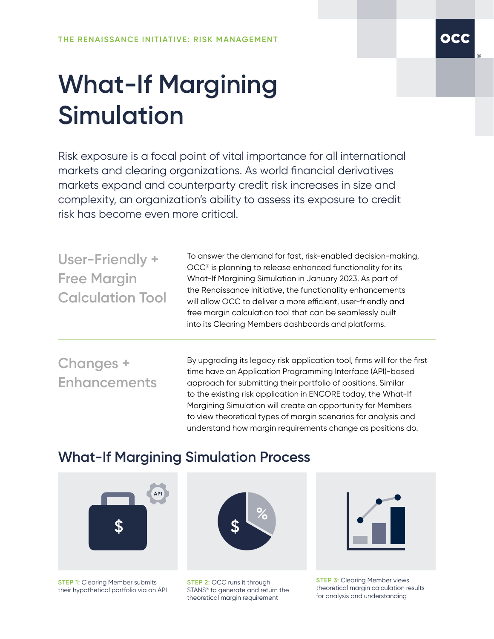## **What-If Margining Simulation**

Risk exposure is a focal point of vital importance for all international markets and clearing organizations. As world financial derivatives markets expand and counterparty credit risk increases in size and complexity, an organization's ability to assess its exposure to credit risk has become even more critical.

| User-Friendly +<br><b>Free Margin</b><br><b>Calculation Tool</b> | To answer the demand for fast, risk-enabled decision-making,<br>OCC <sup>®</sup> is planning to release enhanced functionality for its<br>What-If Margining Simulation in January 2023. As part of<br>the Renaissance Initiative, the functionality enhancements<br>will allow OCC to deliver a more efficient, user-friendly and<br>free margin calculation tool that can be seamlessly built<br>into its Clearing Members dashboards and platforms. |
|------------------------------------------------------------------|-------------------------------------------------------------------------------------------------------------------------------------------------------------------------------------------------------------------------------------------------------------------------------------------------------------------------------------------------------------------------------------------------------------------------------------------------------|
| Changes +<br><b>Enhancements</b>                                 | By upgrading its legacy risk application tool, firms will for the first<br>time have an Application Programming Interface (API)-based<br>approach for submitting their portfolio of positions. Similar<br>to the existing risk application in ENCORE today, the What-If<br>Margining Simulation will create an opportunity for Members<br>to view theoretical types of margin scenarios for analysis and                                              |

## **What-If Margining Simulation Process**



**STEP 1: Clearing Member submits** their hypothetical portfolio via an API



understand how margin requirements change as positions do.

**STEP 2:** OCC runs it through STANS® to generate and return the theoretical margin requirement



**STEP 3: Clearing Member views** theoretical margin calculation results for analysis and understanding